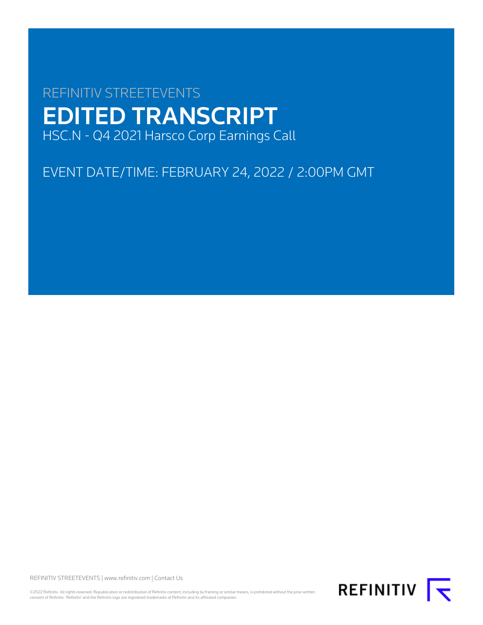# REFINITIV STREETEVENTS EDITED TRANSCRIPT HSC.N - Q4 2021 Harsco Corp Earnings Call

EVENT DATE/TIME: FEBRUARY 24, 2022 / 2:00PM GMT

REFINITIV STREETEVENTS | [www.refinitiv.com](https://www.refinitiv.com/) | [Contact Us](https://www.refinitiv.com/en/contact-us)

©2022 Refinitiv. All rights reserved. Republication or redistribution of Refinitiv content, including by framing or similar means, is prohibited without the prior written<br>consent of Refinitiv. 'Refinitiv' and the Refinitiv

REFINITIV **I**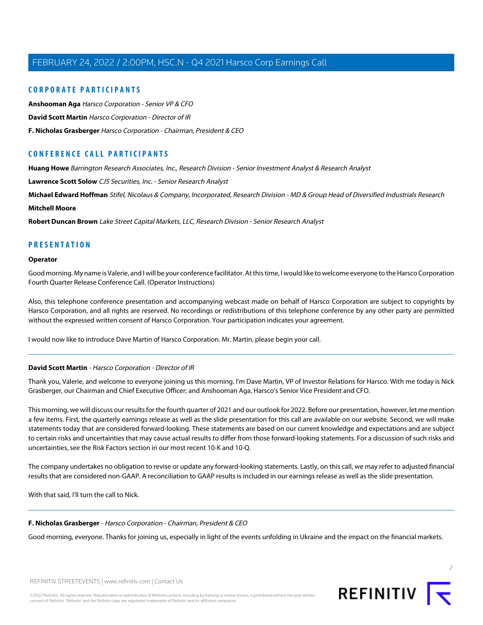# **CORPORATE PARTICIPANTS**

**[Anshooman Aga](#page-3-0)** Harsco Corporation - Senior VP & CFO **[David Scott Martin](#page-1-0)** Harsco Corporation - Director of IR **[F. Nicholas Grasberger](#page-1-1)** Harsco Corporation - Chairman, President & CEO

# **CONFERENCE CALL PARTICIPANTS**

**[Huang Howe](#page-10-0)** Barrington Research Associates, Inc., Research Division - Senior Investment Analyst & Research Analyst

**[Lawrence Scott Solow](#page-6-0)** CJS Securities, Inc. - Senior Research Analyst

**[Michael Edward Hoffman](#page-5-0)** Stifel, Nicolaus & Company, Incorporated, Research Division - MD & Group Head of Diversified Industrials Research

## **[Mitchell Moore](#page-8-0)**

**[Robert Duncan Brown](#page-9-0)** Lake Street Capital Markets, LLC, Research Division - Senior Research Analyst

# **PRESENTATION**

#### **Operator**

Good morning. My name is Valerie, and I will be your conference facilitator. At this time, I would like to welcome everyone to the Harsco Corporation Fourth Quarter Release Conference Call. (Operator Instructions)

Also, this telephone conference presentation and accompanying webcast made on behalf of Harsco Corporation are subject to copyrights by Harsco Corporation, and all rights are reserved. No recordings or redistributions of this telephone conference by any other party are permitted without the expressed written consent of Harsco Corporation. Your participation indicates your agreement.

<span id="page-1-0"></span>I would now like to introduce Dave Martin of Harsco Corporation. Mr. Martin, please begin your call.

#### **David Scott Martin** - Harsco Corporation - Director of IR

Thank you, Valerie, and welcome to everyone joining us this morning. I'm Dave Martin, VP of Investor Relations for Harsco. With me today is Nick Grasberger, our Chairman and Chief Executive Officer; and Anshooman Aga, Harsco's Senior Vice President and CFO.

This morning, we will discuss our results for the fourth quarter of 2021 and our outlook for 2022. Before our presentation, however, let me mention a few items. First, the quarterly earnings release as well as the slide presentation for this call are available on our website. Second, we will make statements today that are considered forward-looking. These statements are based on our current knowledge and expectations and are subject to certain risks and uncertainties that may cause actual results to differ from those forward-looking statements. For a discussion of such risks and uncertainties, see the Risk Factors section in our most recent 10-K and 10-Q.

<span id="page-1-1"></span>The company undertakes no obligation to revise or update any forward-looking statements. Lastly, on this call, we may refer to adjusted financial results that are considered non-GAAP. A reconciliation to GAAP results is included in our earnings release as well as the slide presentation.

With that said, I'll turn the call to Nick.

#### **F. Nicholas Grasberger** - Harsco Corporation - Chairman, President & CEO

Good morning, everyone. Thanks for joining us, especially in light of the events unfolding in Ukraine and the impact on the financial markets.



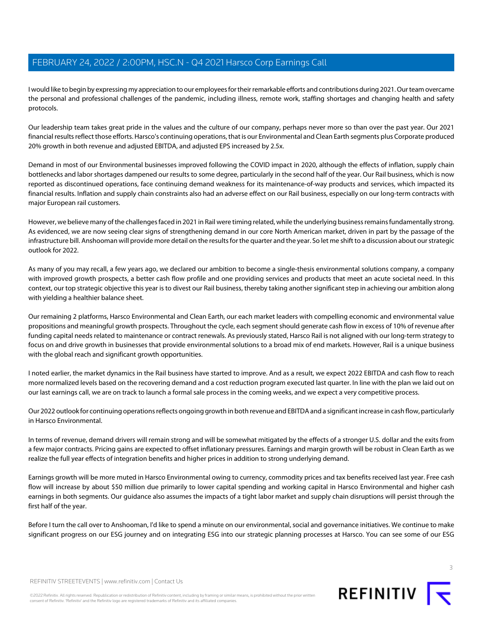I would like to begin by expressing my appreciation to our employees for their remarkable efforts and contributions during 2021. Our team overcame the personal and professional challenges of the pandemic, including illness, remote work, staffing shortages and changing health and safety protocols.

Our leadership team takes great pride in the values and the culture of our company, perhaps never more so than over the past year. Our 2021 financial results reflect those efforts. Harsco's continuing operations, that is our Environmental and Clean Earth segments plus Corporate produced 20% growth in both revenue and adjusted EBITDA, and adjusted EPS increased by 2.5x.

Demand in most of our Environmental businesses improved following the COVID impact in 2020, although the effects of inflation, supply chain bottlenecks and labor shortages dampened our results to some degree, particularly in the second half of the year. Our Rail business, which is now reported as discontinued operations, face continuing demand weakness for its maintenance-of-way products and services, which impacted its financial results. Inflation and supply chain constraints also had an adverse effect on our Rail business, especially on our long-term contracts with major European rail customers.

However, we believe many of the challenges faced in 2021 in Rail were timing related, while the underlying business remains fundamentally strong. As evidenced, we are now seeing clear signs of strengthening demand in our core North American market, driven in part by the passage of the infrastructure bill. Anshooman will provide more detail on the results for the quarter and the year. So let me shift to a discussion about our strategic outlook for 2022.

As many of you may recall, a few years ago, we declared our ambition to become a single-thesis environmental solutions company, a company with improved growth prospects, a better cash flow profile and one providing services and products that meet an acute societal need. In this context, our top strategic objective this year is to divest our Rail business, thereby taking another significant step in achieving our ambition along with yielding a healthier balance sheet.

Our remaining 2 platforms, Harsco Environmental and Clean Earth, our each market leaders with compelling economic and environmental value propositions and meaningful growth prospects. Throughout the cycle, each segment should generate cash flow in excess of 10% of revenue after funding capital needs related to maintenance or contract renewals. As previously stated, Harsco Rail is not aligned with our long-term strategy to focus on and drive growth in businesses that provide environmental solutions to a broad mix of end markets. However, Rail is a unique business with the global reach and significant growth opportunities.

I noted earlier, the market dynamics in the Rail business have started to improve. And as a result, we expect 2022 EBITDA and cash flow to reach more normalized levels based on the recovering demand and a cost reduction program executed last quarter. In line with the plan we laid out on our last earnings call, we are on track to launch a formal sale process in the coming weeks, and we expect a very competitive process.

Our 2022 outlook for continuing operations reflects ongoing growth in both revenue and EBITDA and a significant increase in cash flow, particularly in Harsco Environmental.

In terms of revenue, demand drivers will remain strong and will be somewhat mitigated by the effects of a stronger U.S. dollar and the exits from a few major contracts. Pricing gains are expected to offset inflationary pressures. Earnings and margin growth will be robust in Clean Earth as we realize the full year effects of integration benefits and higher prices in addition to strong underlying demand.

Earnings growth will be more muted in Harsco Environmental owing to currency, commodity prices and tax benefits received last year. Free cash flow will increase by about \$50 million due primarily to lower capital spending and working capital in Harsco Environmental and higher cash earnings in both segments. Our guidance also assumes the impacts of a tight labor market and supply chain disruptions will persist through the first half of the year.

Before I turn the call over to Anshooman, I'd like to spend a minute on our environmental, social and governance initiatives. We continue to make significant progress on our ESG journey and on integrating ESG into our strategic planning processes at Harsco. You can see some of our ESG

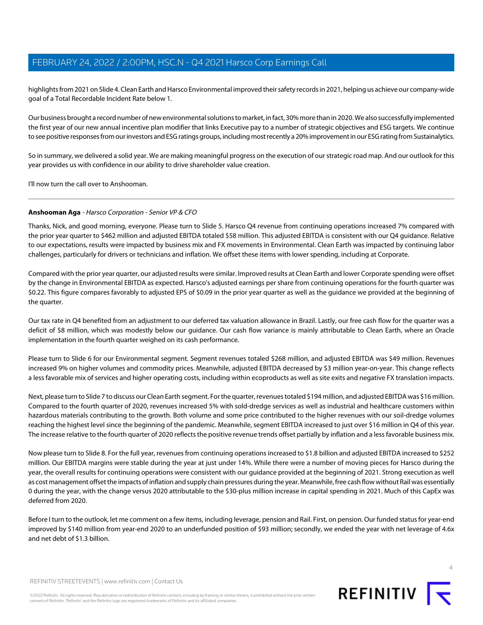highlights from 2021 on Slide 4. Clean Earth and Harsco Environmental improved their safety records in 2021, helping us achieve our company-wide goal of a Total Recordable Incident Rate below 1.

Our business brought a record number of new environmental solutions to market, in fact, 30% more than in 2020. We also successfully implemented the first year of our new annual incentive plan modifier that links Executive pay to a number of strategic objectives and ESG targets. We continue to see positive responses from our investors and ESG ratings groups, including most recently a 20% improvement in our ESG rating from Sustainalytics.

So in summary, we delivered a solid year. We are making meaningful progress on the execution of our strategic road map. And our outlook for this year provides us with confidence in our ability to drive shareholder value creation.

<span id="page-3-0"></span>I'll now turn the call over to Anshooman.

# **Anshooman Aga** - Harsco Corporation - Senior VP & CFO

Thanks, Nick, and good morning, everyone. Please turn to Slide 5. Harsco Q4 revenue from continuing operations increased 7% compared with the prior year quarter to \$462 million and adjusted EBITDA totaled \$58 million. This adjusted EBITDA is consistent with our Q4 guidance. Relative to our expectations, results were impacted by business mix and FX movements in Environmental. Clean Earth was impacted by continuing labor challenges, particularly for drivers or technicians and inflation. We offset these items with lower spending, including at Corporate.

Compared with the prior year quarter, our adjusted results were similar. Improved results at Clean Earth and lower Corporate spending were offset by the change in Environmental EBITDA as expected. Harsco's adjusted earnings per share from continuing operations for the fourth quarter was \$0.22. This figure compares favorably to adjusted EPS of \$0.09 in the prior year quarter as well as the guidance we provided at the beginning of the quarter.

Our tax rate in Q4 benefited from an adjustment to our deferred tax valuation allowance in Brazil. Lastly, our free cash flow for the quarter was a deficit of \$8 million, which was modestly below our guidance. Our cash flow variance is mainly attributable to Clean Earth, where an Oracle implementation in the fourth quarter weighed on its cash performance.

Please turn to Slide 6 for our Environmental segment. Segment revenues totaled \$268 million, and adjusted EBITDA was \$49 million. Revenues increased 9% on higher volumes and commodity prices. Meanwhile, adjusted EBITDA decreased by \$3 million year-on-year. This change reflects a less favorable mix of services and higher operating costs, including within ecoproducts as well as site exits and negative FX translation impacts.

Next, please turn to Slide 7 to discuss our Clean Earth segment. For the quarter, revenues totaled \$194 million, and adjusted EBITDA was \$16 million. Compared to the fourth quarter of 2020, revenues increased 5% with sold-dredge services as well as industrial and healthcare customers within hazardous materials contributing to the growth. Both volume and some price contributed to the higher revenues with our soil-dredge volumes reaching the highest level since the beginning of the pandemic. Meanwhile, segment EBITDA increased to just over \$16 million in Q4 of this year. The increase relative to the fourth quarter of 2020 reflects the positive revenue trends offset partially by inflation and a less favorable business mix.

Now please turn to Slide 8. For the full year, revenues from continuing operations increased to \$1.8 billion and adjusted EBITDA increased to \$252 million. Our EBITDA margins were stable during the year at just under 14%. While there were a number of moving pieces for Harsco during the year, the overall results for continuing operations were consistent with our guidance provided at the beginning of 2021. Strong execution as well as cost management offset the impacts of inflation and supply chain pressures during the year. Meanwhile, free cash flow without Rail was essentially 0 during the year, with the change versus 2020 attributable to the \$30-plus million increase in capital spending in 2021. Much of this CapEx was deferred from 2020.

Before I turn to the outlook, let me comment on a few items, including leverage, pension and Rail. First, on pension. Our funded status for year-end improved by \$140 million from year-end 2020 to an underfunded position of \$93 million; secondly, we ended the year with net leverage of 4.6x and net debt of \$1.3 billion.

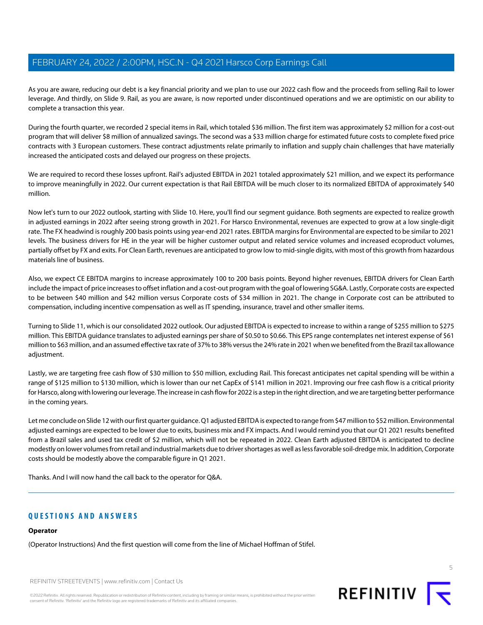As you are aware, reducing our debt is a key financial priority and we plan to use our 2022 cash flow and the proceeds from selling Rail to lower leverage. And thirdly, on Slide 9. Rail, as you are aware, is now reported under discontinued operations and we are optimistic on our ability to complete a transaction this year.

During the fourth quarter, we recorded 2 special items in Rail, which totaled \$36 million. The first item was approximately \$2 million for a cost-out program that will deliver \$8 million of annualized savings. The second was a \$33 million charge for estimated future costs to complete fixed price contracts with 3 European customers. These contract adjustments relate primarily to inflation and supply chain challenges that have materially increased the anticipated costs and delayed our progress on these projects.

We are required to record these losses upfront. Rail's adjusted EBITDA in 2021 totaled approximately \$21 million, and we expect its performance to improve meaningfully in 2022. Our current expectation is that Rail EBITDA will be much closer to its normalized EBITDA of approximately \$40 million.

Now let's turn to our 2022 outlook, starting with Slide 10. Here, you'll find our segment guidance. Both segments are expected to realize growth in adjusted earnings in 2022 after seeing strong growth in 2021. For Harsco Environmental, revenues are expected to grow at a low single-digit rate. The FX headwind is roughly 200 basis points using year-end 2021 rates. EBITDA margins for Environmental are expected to be similar to 2021 levels. The business drivers for HE in the year will be higher customer output and related service volumes and increased ecoproduct volumes, partially offset by FX and exits. For Clean Earth, revenues are anticipated to grow low to mid-single digits, with most of this growth from hazardous materials line of business.

Also, we expect CE EBITDA margins to increase approximately 100 to 200 basis points. Beyond higher revenues, EBITDA drivers for Clean Earth include the impact of price increases to offset inflation and a cost-out program with the goal of lowering SG&A. Lastly, Corporate costs are expected to be between \$40 million and \$42 million versus Corporate costs of \$34 million in 2021. The change in Corporate cost can be attributed to compensation, including incentive compensation as well as IT spending, insurance, travel and other smaller items.

Turning to Slide 11, which is our consolidated 2022 outlook. Our adjusted EBITDA is expected to increase to within a range of \$255 million to \$275 million. This EBITDA guidance translates to adjusted earnings per share of \$0.50 to \$0.66. This EPS range contemplates net interest expense of \$61 million to \$63 million, and an assumed effective tax rate of 37% to 38% versus the 24% rate in 2021 when we benefited from the Brazil tax allowance adiustment.

Lastly, we are targeting free cash flow of \$30 million to \$50 million, excluding Rail. This forecast anticipates net capital spending will be within a range of \$125 million to \$130 million, which is lower than our net CapEx of \$141 million in 2021. Improving our free cash flow is a critical priority for Harsco, along with lowering our leverage. The increase in cash flow for 2022 is a step in the right direction, and we are targeting better performance in the coming years.

Let me conclude on Slide 12 with our first quarter guidance. Q1 adjusted EBITDA is expected to range from \$47 million to \$52 million. Environmental adjusted earnings are expected to be lower due to exits, business mix and FX impacts. And I would remind you that our Q1 2021 results benefited from a Brazil sales and used tax credit of \$2 million, which will not be repeated in 2022. Clean Earth adjusted EBITDA is anticipated to decline modestly on lower volumes from retail and industrial markets due to driver shortages as well as less favorable soil-dredge mix. In addition, Corporate costs should be modestly above the comparable figure in Q1 2021.

Thanks. And I will now hand the call back to the operator for Q&A.

# **QUESTIONS AND ANSWERS**

# **Operator**

(Operator Instructions) And the first question will come from the line of Michael Hoffman of Stifel.

REFINITIV STREETEVENTS | [www.refinitiv.com](https://www.refinitiv.com/) | [Contact Us](https://www.refinitiv.com/en/contact-us)

©2022 Refinitiv. All rights reserved. Republication or redistribution of Refinitiv content, including by framing or similar means, is prohibited without the prior written consent of Refinitiv. 'Refinitiv' and the Refinitiv logo are registered trademarks of Refinitiv and its affiliated companies.



5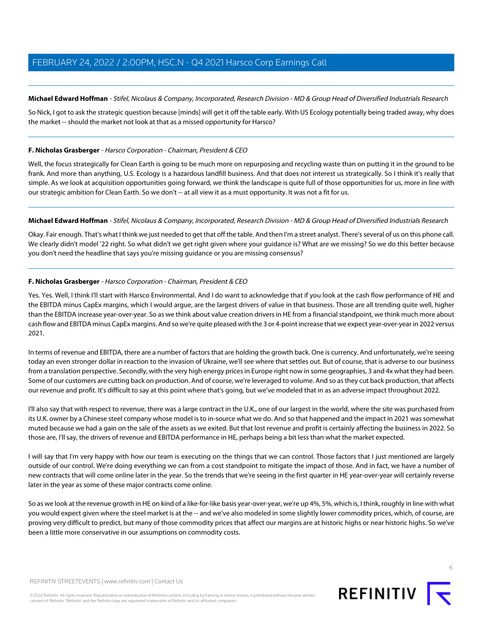# <span id="page-5-0"></span>**Michael Edward Hoffman** - Stifel, Nicolaus & Company, Incorporated, Research Division - MD & Group Head of Diversified Industrials Research

So Nick, I got to ask the strategic question because [minds] will get it off the table early. With US Ecology potentially being traded away, why does the market -- should the market not look at that as a missed opportunity for Harsco?

# **F. Nicholas Grasberger** - Harsco Corporation - Chairman, President & CEO

Well, the focus strategically for Clean Earth is going to be much more on repurposing and recycling waste than on putting it in the ground to be frank. And more than anything, U.S. Ecology is a hazardous landfill business. And that does not interest us strategically. So I think it's really that simple. As we look at acquisition opportunities going forward, we think the landscape is quite full of those opportunities for us, more in line with our strategic ambition for Clean Earth. So we don't -- at all view it as a must opportunity. It was not a fit for us.

# **Michael Edward Hoffman** - Stifel, Nicolaus & Company, Incorporated, Research Division - MD & Group Head of Diversified Industrials Research

Okay. Fair enough. That's what I think we just needed to get that off the table. And then I'm a street analyst. There's several of us on this phone call. We clearly didn't model '22 right. So what didn't we get right given where your guidance is? What are we missing? So we do this better because you don't need the headline that says you're missing guidance or you are missing consensus?

# **F. Nicholas Grasberger** - Harsco Corporation - Chairman, President & CEO

Yes. Yes. Well, I think I'll start with Harsco Environmental. And I do want to acknowledge that if you look at the cash flow performance of HE and the EBITDA minus CapEx margins, which I would argue, are the largest drivers of value in that business. Those are all trending quite well, higher than the EBITDA increase year-over-year. So as we think about value creation drivers in HE from a financial standpoint, we think much more about cash flow and EBITDA minus CapEx margins. And so we're quite pleased with the 3 or 4-point increase that we expect year-over-year in 2022 versus 2021.

In terms of revenue and EBITDA, there are a number of factors that are holding the growth back. One is currency. And unfortunately, we're seeing today an even stronger dollar in reaction to the invasion of Ukraine, we'll see where that settles out. But of course, that is adverse to our business from a translation perspective. Secondly, with the very high energy prices in Europe right now in some geographies, 3 and 4x what they had been. Some of our customers are cutting back on production. And of course, we're leveraged to volume. And so as they cut back production, that affects our revenue and profit. It's difficult to say at this point where that's going, but we've modeled that in as an adverse impact throughout 2022.

I'll also say that with respect to revenue, there was a large contract in the U.K., one of our largest in the world, where the site was purchased from its U.K. owner by a Chinese steel company whose model is to in-source what we do. And so that happened and the impact in 2021 was somewhat muted because we had a gain on the sale of the assets as we exited. But that lost revenue and profit is certainly affecting the business in 2022. So those are, I'll say, the drivers of revenue and EBITDA performance in HE, perhaps being a bit less than what the market expected.

I will say that I'm very happy with how our team is executing on the things that we can control. Those factors that I just mentioned are largely outside of our control. We're doing everything we can from a cost standpoint to mitigate the impact of those. And in fact, we have a number of new contracts that will come online later in the year. So the trends that we're seeing in the first quarter in HE year-over-year will certainly reverse later in the year as some of these major contracts come online.

So as we look at the revenue growth in HE on kind of a like-for-like basis year-over-year, we're up 4%, 5%, which is, I think, roughly in line with what you would expect given where the steel market is at the -- and we've also modeled in some slightly lower commodity prices, which, of course, are proving very difficult to predict, but many of those commodity prices that affect our margins are at historic highs or near historic highs. So we've been a little more conservative in our assumptions on commodity costs.



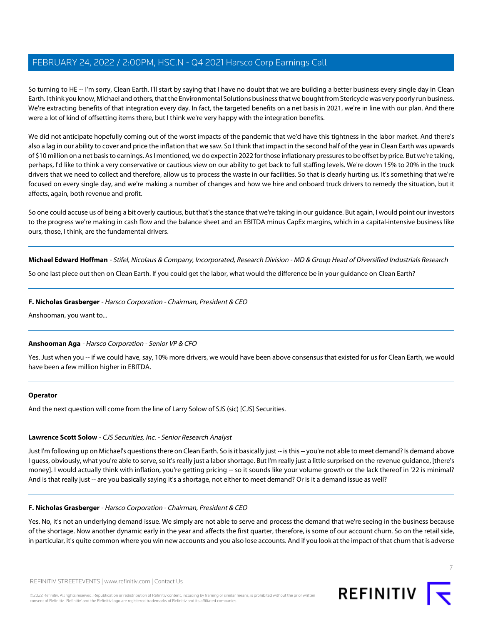So turning to HE -- I'm sorry, Clean Earth. I'll start by saying that I have no doubt that we are building a better business every single day in Clean Earth. I think you know, Michael and others, that the Environmental Solutions business that we bought from Stericycle was very poorly run business. We're extracting benefits of that integration every day. In fact, the targeted benefits on a net basis in 2021, we're in line with our plan. And there were a lot of kind of offsetting items there, but I think we're very happy with the integration benefits.

We did not anticipate hopefully coming out of the worst impacts of the pandemic that we'd have this tightness in the labor market. And there's also a lag in our ability to cover and price the inflation that we saw. So I think that impact in the second half of the year in Clean Earth was upwards of \$10 million on a net basis to earnings. As I mentioned, we do expect in 2022 for those inflationary pressures to be offset by price. But we're taking, perhaps, I'd like to think a very conservative or cautious view on our ability to get back to full staffing levels. We're down 15% to 20% in the truck drivers that we need to collect and therefore, allow us to process the waste in our facilities. So that is clearly hurting us. It's something that we're focused on every single day, and we're making a number of changes and how we hire and onboard truck drivers to remedy the situation, but it affects, again, both revenue and profit.

So one could accuse us of being a bit overly cautious, but that's the stance that we're taking in our guidance. But again, I would point our investors to the progress we're making in cash flow and the balance sheet and an EBITDA minus CapEx margins, which in a capital-intensive business like ours, those, I think, are the fundamental drivers.

**Michael Edward Hoffman** - Stifel, Nicolaus & Company, Incorporated, Research Division - MD & Group Head of Diversified Industrials Research

So one last piece out then on Clean Earth. If you could get the labor, what would the difference be in your guidance on Clean Earth?

# **F. Nicholas Grasberger** - Harsco Corporation - Chairman, President & CEO

Anshooman, you want to...

# **Anshooman Aga** - Harsco Corporation - Senior VP & CFO

Yes. Just when you -- if we could have, say, 10% more drivers, we would have been above consensus that existed for us for Clean Earth, we would have been a few million higher in EBITDA.

#### <span id="page-6-0"></span>**Operator**

And the next question will come from the line of Larry Solow of SJS (sic) [CJS] Securities.

#### **Lawrence Scott Solow** - CJS Securities, Inc. - Senior Research Analyst

Just I'm following up on Michael's questions there on Clean Earth. So is it basically just -- is this -- you're not able to meet demand? Is demand above I guess, obviously, what you're able to serve, so it's really just a labor shortage. But I'm really just a little surprised on the revenue guidance, [there's money]. I would actually think with inflation, you're getting pricing -- so it sounds like your volume growth or the lack thereof in '22 is minimal? And is that really just -- are you basically saying it's a shortage, not either to meet demand? Or is it a demand issue as well?

# **F. Nicholas Grasberger** - Harsco Corporation - Chairman, President & CEO

Yes. No, it's not an underlying demand issue. We simply are not able to serve and process the demand that we're seeing in the business because of the shortage. Now another dynamic early in the year and affects the first quarter, therefore, is some of our account churn. So on the retail side, in particular, it's quite common where you win new accounts and you also lose accounts. And if you look at the impact of that churn that is adverse

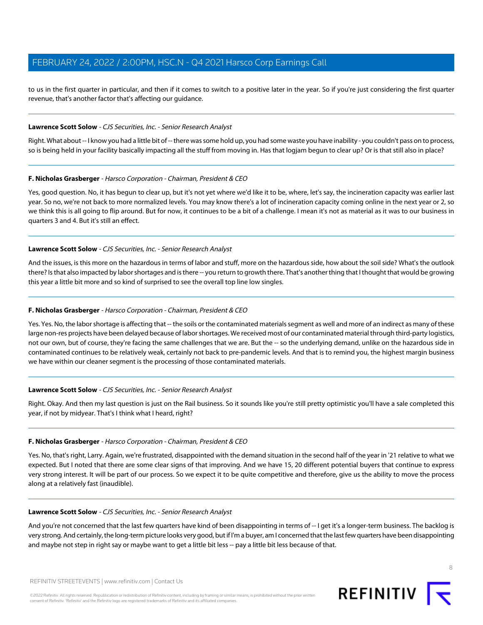to us in the first quarter in particular, and then if it comes to switch to a positive later in the year. So if you're just considering the first quarter revenue, that's another factor that's affecting our guidance.

## **Lawrence Scott Solow** - CJS Securities, Inc. - Senior Research Analyst

Right. What about -- I know you had a little bit of -- there was some hold up, you had some waste you have inability - you couldn't pass on to process, so is being held in your facility basically impacting all the stuff from moving in. Has that logjam begun to clear up? Or is that still also in place?

#### **F. Nicholas Grasberger** - Harsco Corporation - Chairman, President & CEO

Yes, good question. No, it has begun to clear up, but it's not yet where we'd like it to be, where, let's say, the incineration capacity was earlier last year. So no, we're not back to more normalized levels. You may know there's a lot of incineration capacity coming online in the next year or 2, so we think this is all going to flip around. But for now, it continues to be a bit of a challenge. I mean it's not as material as it was to our business in quarters 3 and 4. But it's still an effect.

#### **Lawrence Scott Solow** - CJS Securities, Inc. - Senior Research Analyst

And the issues, is this more on the hazardous in terms of labor and stuff, more on the hazardous side, how about the soil side? What's the outlook there? Is that also impacted by labor shortages and is there -- you return to growth there. That's another thing that I thought that would be growing this year a little bit more and so kind of surprised to see the overall top line low singles.

## **F. Nicholas Grasberger** - Harsco Corporation - Chairman, President & CEO

Yes. Yes. No, the labor shortage is affecting that -- the soils or the contaminated materials segment as well and more of an indirect as many of these large non-res projects have been delayed because of labor shortages. We received most of our contaminated material through third-party logistics, not our own, but of course, they're facing the same challenges that we are. But the -- so the underlying demand, unlike on the hazardous side in contaminated continues to be relatively weak, certainly not back to pre-pandemic levels. And that is to remind you, the highest margin business we have within our cleaner segment is the processing of those contaminated materials.

#### **Lawrence Scott Solow** - CJS Securities, Inc. - Senior Research Analyst

Right. Okay. And then my last question is just on the Rail business. So it sounds like you're still pretty optimistic you'll have a sale completed this year, if not by midyear. That's I think what I heard, right?

#### **F. Nicholas Grasberger** - Harsco Corporation - Chairman, President & CEO

Yes. No, that's right, Larry. Again, we're frustrated, disappointed with the demand situation in the second half of the year in '21 relative to what we expected. But I noted that there are some clear signs of that improving. And we have 15, 20 different potential buyers that continue to express very strong interest. It will be part of our process. So we expect it to be quite competitive and therefore, give us the ability to move the process along at a relatively fast (inaudible).

#### **Lawrence Scott Solow** - CJS Securities, Inc. - Senior Research Analyst

And you're not concerned that the last few quarters have kind of been disappointing in terms of -- I get it's a longer-term business. The backlog is very strong. And certainly, the long-term picture looks very good, but if I'm a buyer, am I concerned that the last few quarters have been disappointing and maybe not step in right say or maybe want to get a little bit less -- pay a little bit less because of that.

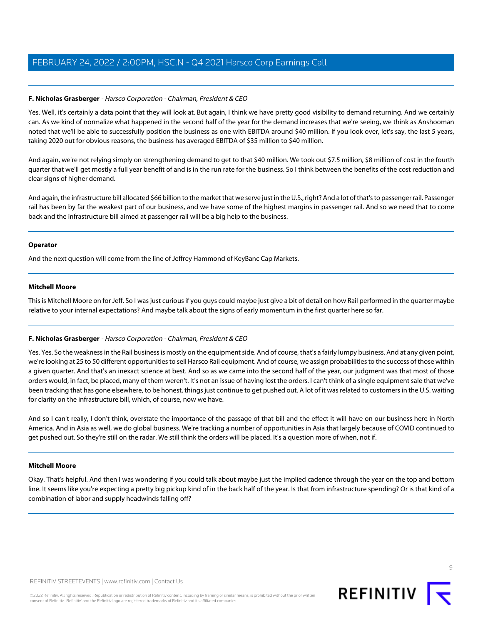# **F. Nicholas Grasberger** - Harsco Corporation - Chairman, President & CEO

Yes. Well, it's certainly a data point that they will look at. But again, I think we have pretty good visibility to demand returning. And we certainly can. As we kind of normalize what happened in the second half of the year for the demand increases that we're seeing, we think as Anshooman noted that we'll be able to successfully position the business as one with EBITDA around \$40 million. If you look over, let's say, the last 5 years, taking 2020 out for obvious reasons, the business has averaged EBITDA of \$35 million to \$40 million.

And again, we're not relying simply on strengthening demand to get to that \$40 million. We took out \$7.5 million, \$8 million of cost in the fourth quarter that we'll get mostly a full year benefit of and is in the run rate for the business. So I think between the benefits of the cost reduction and clear signs of higher demand.

And again, the infrastructure bill allocated \$66 billion to the market that we serve just in the U.S., right? And a lot of that's to passenger rail. Passenger rail has been by far the weakest part of our business, and we have some of the highest margins in passenger rail. And so we need that to come back and the infrastructure bill aimed at passenger rail will be a big help to the business.

#### **Operator**

<span id="page-8-0"></span>And the next question will come from the line of Jeffrey Hammond of KeyBanc Cap Markets.

#### **Mitchell Moore**

This is Mitchell Moore on for Jeff. So I was just curious if you guys could maybe just give a bit of detail on how Rail performed in the quarter maybe relative to your internal expectations? And maybe talk about the signs of early momentum in the first quarter here so far.

# **F. Nicholas Grasberger** - Harsco Corporation - Chairman, President & CEO

Yes. Yes. So the weakness in the Rail business is mostly on the equipment side. And of course, that's a fairly lumpy business. And at any given point, we're looking at 25 to 50 different opportunities to sell Harsco Rail equipment. And of course, we assign probabilities to the success of those within a given quarter. And that's an inexact science at best. And so as we came into the second half of the year, our judgment was that most of those orders would, in fact, be placed, many of them weren't. It's not an issue of having lost the orders. I can't think of a single equipment sale that we've been tracking that has gone elsewhere, to be honest, things just continue to get pushed out. A lot of it was related to customers in the U.S. waiting for clarity on the infrastructure bill, which, of course, now we have.

And so I can't really, I don't think, overstate the importance of the passage of that bill and the effect it will have on our business here in North America. And in Asia as well, we do global business. We're tracking a number of opportunities in Asia that largely because of COVID continued to get pushed out. So they're still on the radar. We still think the orders will be placed. It's a question more of when, not if.

#### **Mitchell Moore**

Okay. That's helpful. And then I was wondering if you could talk about maybe just the implied cadence through the year on the top and bottom line. It seems like you're expecting a pretty big pickup kind of in the back half of the year. Is that from infrastructure spending? Or is that kind of a combination of labor and supply headwinds falling off?



REFINITIV STREETEVENTS | [www.refinitiv.com](https://www.refinitiv.com/) | [Contact Us](https://www.refinitiv.com/en/contact-us)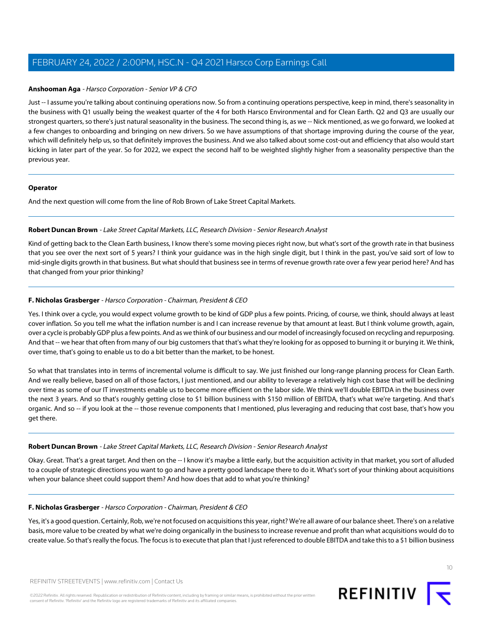## **Anshooman Aga** - Harsco Corporation - Senior VP & CFO

Just -- I assume you're talking about continuing operations now. So from a continuing operations perspective, keep in mind, there's seasonality in the business with Q1 usually being the weakest quarter of the 4 for both Harsco Environmental and for Clean Earth. Q2 and Q3 are usually our strongest quarters, so there's just natural seasonality in the business. The second thing is, as we -- Nick mentioned, as we go forward, we looked at a few changes to onboarding and bringing on new drivers. So we have assumptions of that shortage improving during the course of the year, which will definitely help us, so that definitely improves the business. And we also talked about some cost-out and efficiency that also would start kicking in later part of the year. So for 2022, we expect the second half to be weighted slightly higher from a seasonality perspective than the previous year.

#### **Operator**

<span id="page-9-0"></span>And the next question will come from the line of Rob Brown of Lake Street Capital Markets.

## **Robert Duncan Brown** - Lake Street Capital Markets, LLC, Research Division - Senior Research Analyst

Kind of getting back to the Clean Earth business, I know there's some moving pieces right now, but what's sort of the growth rate in that business that you see over the next sort of 5 years? I think your guidance was in the high single digit, but I think in the past, you've said sort of low to mid-single digits growth in that business. But what should that business see in terms of revenue growth rate over a few year period here? And has that changed from your prior thinking?

# **F. Nicholas Grasberger** - Harsco Corporation - Chairman, President & CEO

Yes. I think over a cycle, you would expect volume growth to be kind of GDP plus a few points. Pricing, of course, we think, should always at least cover inflation. So you tell me what the inflation number is and I can increase revenue by that amount at least. But I think volume growth, again, over a cycle is probably GDP plus a few points. And as we think of our business and our model of increasingly focused on recycling and repurposing. And that -- we hear that often from many of our big customers that that's what they're looking for as opposed to burning it or burying it. We think, over time, that's going to enable us to do a bit better than the market, to be honest.

So what that translates into in terms of incremental volume is difficult to say. We just finished our long-range planning process for Clean Earth. And we really believe, based on all of those factors, I just mentioned, and our ability to leverage a relatively high cost base that will be declining over time as some of our IT investments enable us to become more efficient on the labor side. We think we'll double EBITDA in the business over the next 3 years. And so that's roughly getting close to \$1 billion business with \$150 million of EBITDA, that's what we're targeting. And that's organic. And so -- if you look at the -- those revenue components that I mentioned, plus leveraging and reducing that cost base, that's how you get there.

#### **Robert Duncan Brown** - Lake Street Capital Markets, LLC, Research Division - Senior Research Analyst

Okay. Great. That's a great target. And then on the -- I know it's maybe a little early, but the acquisition activity in that market, you sort of alluded to a couple of strategic directions you want to go and have a pretty good landscape there to do it. What's sort of your thinking about acquisitions when your balance sheet could support them? And how does that add to what you're thinking?

# **F. Nicholas Grasberger** - Harsco Corporation - Chairman, President & CEO

Yes, it's a good question. Certainly, Rob, we're not focused on acquisitions this year, right? We're all aware of our balance sheet. There's on a relative basis, more value to be created by what we're doing organically in the business to increase revenue and profit than what acquisitions would do to create value. So that's really the focus. The focus is to execute that plan that I just referenced to double EBITDA and take this to a \$1 billion business

©2022 Refinitiv. All rights reserved. Republication or redistribution of Refinitiv content, including by framing or similar means, is prohibited without the prior written consent of Refinitiv. 'Refinitiv' and the Refinitiv logo are registered trademarks of Refinitiv and its affiliated companies.

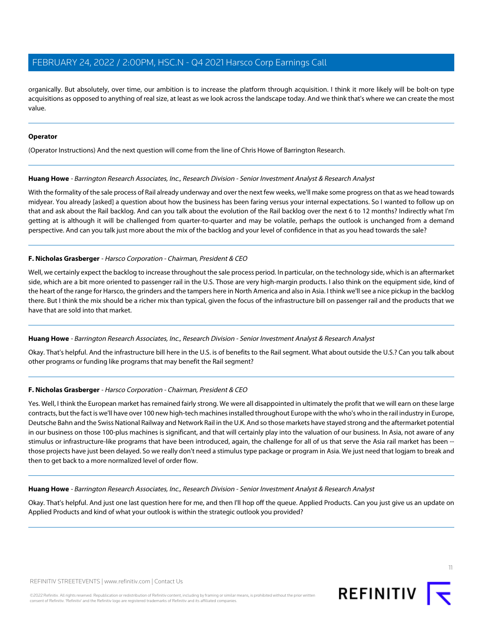organically. But absolutely, over time, our ambition is to increase the platform through acquisition. I think it more likely will be bolt-on type acquisitions as opposed to anything of real size, at least as we look across the landscape today. And we think that's where we can create the most value.

## **Operator**

<span id="page-10-0"></span>(Operator Instructions) And the next question will come from the line of Chris Howe of Barrington Research.

#### **Huang Howe** - Barrington Research Associates, Inc., Research Division - Senior Investment Analyst & Research Analyst

With the formality of the sale process of Rail already underway and over the next few weeks, we'll make some progress on that as we head towards midyear. You already [asked] a question about how the business has been faring versus your internal expectations. So I wanted to follow up on that and ask about the Rail backlog. And can you talk about the evolution of the Rail backlog over the next 6 to 12 months? Indirectly what I'm getting at is although it will be challenged from quarter-to-quarter and may be volatile, perhaps the outlook is unchanged from a demand perspective. And can you talk just more about the mix of the backlog and your level of confidence in that as you head towards the sale?

# **F. Nicholas Grasberger** - Harsco Corporation - Chairman, President & CEO

Well, we certainly expect the backlog to increase throughout the sale process period. In particular, on the technology side, which is an aftermarket side, which are a bit more oriented to passenger rail in the U.S. Those are very high-margin products. I also think on the equipment side, kind of the heart of the range for Harsco, the grinders and the tampers here in North America and also in Asia. I think we'll see a nice pickup in the backlog there. But I think the mix should be a richer mix than typical, given the focus of the infrastructure bill on passenger rail and the products that we have that are sold into that market.

# **Huang Howe** - Barrington Research Associates, Inc., Research Division - Senior Investment Analyst & Research Analyst

Okay. That's helpful. And the infrastructure bill here in the U.S. is of benefits to the Rail segment. What about outside the U.S.? Can you talk about other programs or funding like programs that may benefit the Rail segment?

# **F. Nicholas Grasberger** - Harsco Corporation - Chairman, President & CEO

Yes. Well, I think the European market has remained fairly strong. We were all disappointed in ultimately the profit that we will earn on these large contracts, but the fact is we'll have over 100 new high-tech machines installed throughout Europe with the who's who in the rail industry in Europe, Deutsche Bahn and the Swiss National Railway and Network Rail in the U.K. And so those markets have stayed strong and the aftermarket potential in our business on those 100-plus machines is significant, and that will certainly play into the valuation of our business. In Asia, not aware of any stimulus or infrastructure-like programs that have been introduced, again, the challenge for all of us that serve the Asia rail market has been - those projects have just been delayed. So we really don't need a stimulus type package or program in Asia. We just need that logjam to break and then to get back to a more normalized level of order flow.

**Huang Howe** - Barrington Research Associates, Inc., Research Division - Senior Investment Analyst & Research Analyst

Okay. That's helpful. And just one last question here for me, and then I'll hop off the queue. Applied Products. Can you just give us an update on Applied Products and kind of what your outlook is within the strategic outlook you provided?



11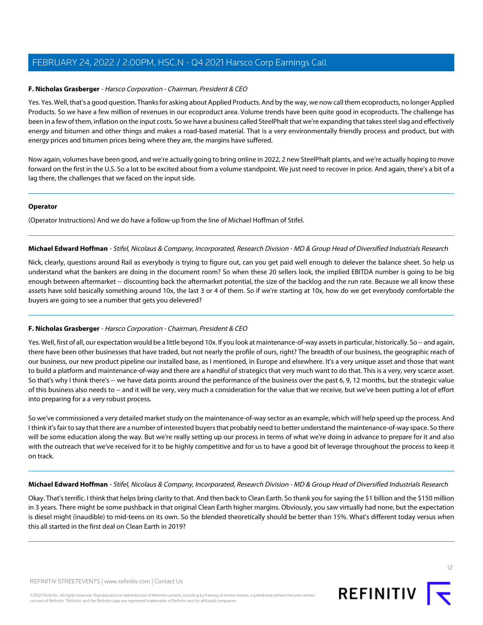# **F. Nicholas Grasberger** - Harsco Corporation - Chairman, President & CEO

Yes. Yes. Well, that's a good question. Thanks for asking about Applied Products. And by the way, we now call them ecoproducts, no longer Applied Products. So we have a few million of revenues in our ecoproduct area. Volume trends have been quite good in ecoproducts. The challenge has been in a few of them, inflation on the input costs. So we have a business called SteelPhalt that we're expanding that takes steel slag and effectively energy and bitumen and other things and makes a road-based material. That is a very environmentally friendly process and product, but with energy prices and bitumen prices being where they are, the margins have suffered.

Now again, volumes have been good, and we're actually going to bring online in 2022, 2 new SteelPhalt plants, and we're actually hoping to move forward on the first in the U.S. So a lot to be excited about from a volume standpoint. We just need to recover in price. And again, there's a bit of a lag there, the challenges that we faced on the input side.

#### **Operator**

(Operator Instructions) And we do have a follow-up from the line of Michael Hoffman of Stifel.

# **Michael Edward Hoffman** - Stifel, Nicolaus & Company, Incorporated, Research Division - MD & Group Head of Diversified Industrials Research

Nick, clearly, questions around Rail as everybody is trying to figure out, can you get paid well enough to delever the balance sheet. So help us understand what the bankers are doing in the document room? So when these 20 sellers look, the implied EBITDA number is going to be big enough between aftermarket -- discounting back the aftermarket potential, the size of the backlog and the run rate. Because we all know these assets have sold basically something around 10x, the last 3 or 4 of them. So if we're starting at 10x, how do we get everybody comfortable the buyers are going to see a number that gets you delevered?

# **F. Nicholas Grasberger** - Harsco Corporation - Chairman, President & CEO

Yes. Well, first of all, our expectation would be a little beyond 10x. If you look at maintenance-of-way assets in particular, historically. So -- and again, there have been other businesses that have traded, but not nearly the profile of ours, right? The breadth of our business, the geographic reach of our business, our new product pipeline our installed base, as I mentioned, in Europe and elsewhere. It's a very unique asset and those that want to build a platform and maintenance-of-way and there are a handful of strategics that very much want to do that. This is a very, very scarce asset. So that's why I think there's -- we have data points around the performance of the business over the past 6, 9, 12 months, but the strategic value of this business also needs to -- and it will be very, very much a consideration for the value that we receive, but we've been putting a lot of effort into preparing for a a very robust process.

So we've commissioned a very detailed market study on the maintenance-of-way sector as an example, which will help speed up the process. And I think it's fair to say that there are a number of interested buyers that probably need to better understand the maintenance-of-way space. So there will be some education along the way. But we're really setting up our process in terms of what we're doing in advance to prepare for it and also with the outreach that we've received for it to be highly competitive and for us to have a good bit of leverage throughout the process to keep it on track.

# **Michael Edward Hoffman** - Stifel, Nicolaus & Company, Incorporated, Research Division - MD & Group Head of Diversified Industrials Research

Okay. That's terrific. I think that helps bring clarity to that. And then back to Clean Earth. So thank you for saying the \$1 billion and the \$150 million in 3 years. There might be some pushback in that original Clean Earth higher margins. Obviously, you saw virtually had none, but the expectation is diesel might (inaudible) to mid-teens on its own. So the blended theoretically should be better than 15%. What's different today versus when this all started in the first deal on Clean Earth in 2019?

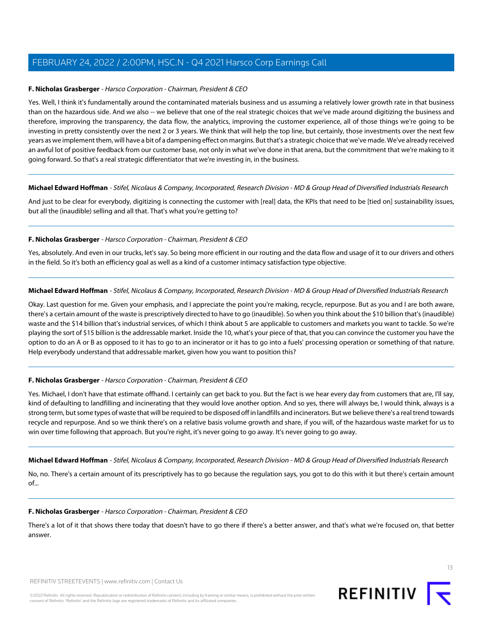## **F. Nicholas Grasberger** - Harsco Corporation - Chairman, President & CEO

Yes. Well, I think it's fundamentally around the contaminated materials business and us assuming a relatively lower growth rate in that business than on the hazardous side. And we also -- we believe that one of the real strategic choices that we've made around digitizing the business and therefore, improving the transparency, the data flow, the analytics, improving the customer experience, all of those things we're going to be investing in pretty consistently over the next 2 or 3 years. We think that will help the top line, but certainly, those investments over the next few years as we implement them, will have a bit of a dampening effect on margins. But that's a strategic choice that we've made. We've already received an awful lot of positive feedback from our customer base, not only in what we've done in that arena, but the commitment that we're making to it going forward. So that's a real strategic differentiator that we're investing in, in the business.

#### **Michael Edward Hoffman** - Stifel, Nicolaus & Company, Incorporated, Research Division - MD & Group Head of Diversified Industrials Research

And just to be clear for everybody, digitizing is connecting the customer with [real] data, the KPIs that need to be [tied on] sustainability issues, but all the (inaudible) selling and all that. That's what you're getting to?

# **F. Nicholas Grasberger** - Harsco Corporation - Chairman, President & CEO

Yes, absolutely. And even in our trucks, let's say. So being more efficient in our routing and the data flow and usage of it to our drivers and others in the field. So it's both an efficiency goal as well as a kind of a customer intimacy satisfaction type objective.

#### **Michael Edward Hoffman** - Stifel, Nicolaus & Company, Incorporated, Research Division - MD & Group Head of Diversified Industrials Research

Okay. Last question for me. Given your emphasis, and I appreciate the point you're making, recycle, repurpose. But as you and I are both aware, there's a certain amount of the waste is prescriptively directed to have to go (inaudible). So when you think about the \$10 billion that's (inaudible) waste and the \$14 billion that's industrial services, of which I think about 5 are applicable to customers and markets you want to tackle. So we're playing the sort of \$15 billion is the addressable market. Inside the 10, what's your piece of that, that you can convince the customer you have the option to do an A or B as opposed to it has to go to an incinerator or it has to go into a fuels' processing operation or something of that nature. Help everybody understand that addressable market, given how you want to position this?

# **F. Nicholas Grasberger** - Harsco Corporation - Chairman, President & CEO

Yes. Michael, I don't have that estimate offhand. I certainly can get back to you. But the fact is we hear every day from customers that are, I'll say, kind of defaulting to landfilling and incinerating that they would love another option. And so yes, there will always be, I would think, always is a strong term, but some types of waste that will be required to be disposed off in landfills and incinerators. But we believe there's a real trend towards recycle and repurpose. And so we think there's on a relative basis volume growth and share, if you will, of the hazardous waste market for us to win over time following that approach. But you're right, it's never going to go away. It's never going to go away.

**Michael Edward Hoffman** - Stifel, Nicolaus & Company, Incorporated, Research Division - MD & Group Head of Diversified Industrials Research

No, no. There's a certain amount of its prescriptively has to go because the regulation says, you got to do this with it but there's certain amount of...

#### **F. Nicholas Grasberger** - Harsco Corporation - Chairman, President & CEO

There's a lot of it that shows there today that doesn't have to go there if there's a better answer, and that's what we're focused on, that better answer.